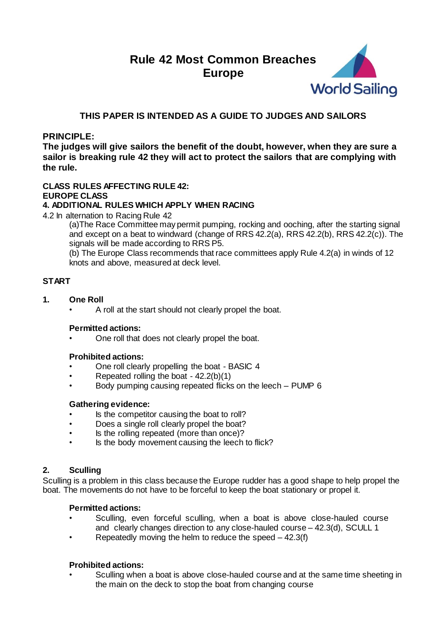# **Rule 42 Most Common Breaches Europe**



# **THIS PAPER IS INTENDED AS A GUIDE TO JUDGES AND SAILORS**

# **PRINCIPLE:**

**The judges will give sailors the benefit of the doubt, however, when they are sure a sailor is breaking rule 42 they will act to protect the sailors that are complying with the rule.**

# **CLASS RULES AFFECTING RULE 42:**

# **EUROPE CLASS**

# **4. ADDITIONAL RULES WHICH APPLY WHEN RACING**

4.2 In alternation to Racing Rule 42

(a)The Race Committee may permit pumping, rocking and ooching, after the starting signal and except on a beat to windward (change of RRS 42.2(a), RRS 42.2(b), RRS 42.2(c)). The signals will be made according to RRS P5.

(b) The Europe Class recommends that race committees apply Rule 4.2(a) in winds of 12 knots and above, measured at deck level.

# **START**

- **1. One Roll**
	- A roll at the start should not clearly propel the boat.

# **Permitted actions:**

• One roll that does not clearly propel the boat.

# **Prohibited actions:**

- One roll clearly propelling the boat BASIC 4
- Repeated rolling the boat 42.2(b)(1)
- Body pumping causing repeated flicks on the leech PUMP 6

# **Gathering evidence:**

- Is the competitor causing the boat to roll?
- Does a single roll clearly propel the boat?
- Is the rolling repeated (more than once)?
- Is the body movement causing the leech to flick?

# **2. Sculling**

Sculling is a problem in this class because the Europe rudder has a good shape to help propel the boat. The movements do not have to be forceful to keep the boat stationary or propel it.

# **Permitted actions:**

- Sculling, even forceful sculling, when a boat is above close-hauled course and clearly changes direction to any close-hauled course – 42.3(d), SCULL 1
- Repeatedly moving the helm to reduce the speed  $-42.3(f)$

# **Prohibited actions:**

• Sculling when a boat is above close-hauled course and at the same time sheeting in the main on the deck to stop the boat from changing course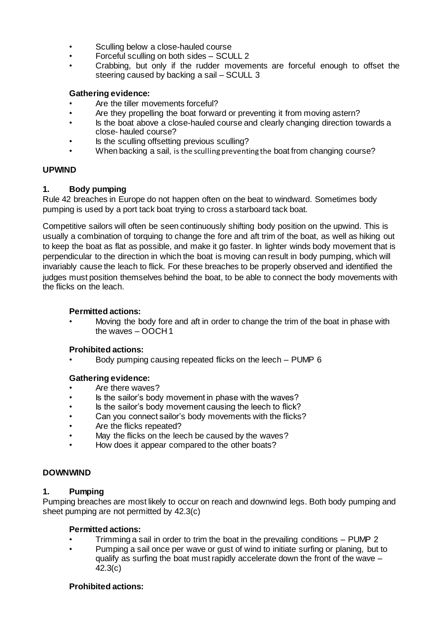- Sculling below a close-hauled course
- Forceful sculling on both sides SCULL 2
- Crabbing, but only if the rudder movements are forceful enough to offset the steering caused by backing a sail – SCULL 3

# **Gathering evidence:**

- Are the tiller movements forceful?
- Are they propelling the boat forward or preventing it from moving astern?
- Is the boat above a close-hauled course and clearly changing direction towards a close- hauled course?
- Is the sculling offsetting previous sculling?
- When backing a sail, is the sculling preventing the boat from changing course?

# **UPWIND**

# **1. Body pumping**

Rule 42 breaches in Europe do not happen often on the beat to windward. Sometimes body pumping is used by a port tack boat trying to cross a starboard tack boat.

Competitive sailors will often be seen continuously shifting body position on the upwind. This is usually a combination of torquing to change the fore and aft trim of the boat, as well as hiking out to keep the boat as flat as possible, and make it go faster. In lighter winds body movement that is perpendicular to the direction in which the boat is moving can result in body pumping, which will invariably cause the leach to flick. For these breaches to be properly observed and identified the judges must position themselves behind the boat, to be able to connect the body movements with the flicks on the leach.

# **Permitted actions:**

• Moving the body fore and aft in order to change the trim of the boat in phase with the waves – OOCH 1

# **Prohibited actions:**

• Body pumping causing repeated flicks on the leech – PUMP 6

# **Gathering evidence:**

- Are there waves?
- Is the sailor's body movement in phase with the waves?
- Is the sailor's body movement causing the leech to flick?
- Can you connect sailor's body movements with the flicks?
- Are the flicks repeated?
- May the flicks on the leech be caused by the waves?
- How does it appear compared to the other boats?

# **DOWNWIND**

# **1. Pumping**

Pumping breaches are most likely to occur on reach and downwind legs. Both body pumping and sheet pumping are not permitted by 42.3(c)

# **Permitted actions:**

- Trimming a sail in order to trim the boat in the prevailing conditions PUMP 2
- Pumping a sail once per wave or gust of wind to initiate surfing or planing, but to qualify as surfing the boat must rapidly accelerate down the front of the wave – 42.3(c)

# **Prohibited actions:**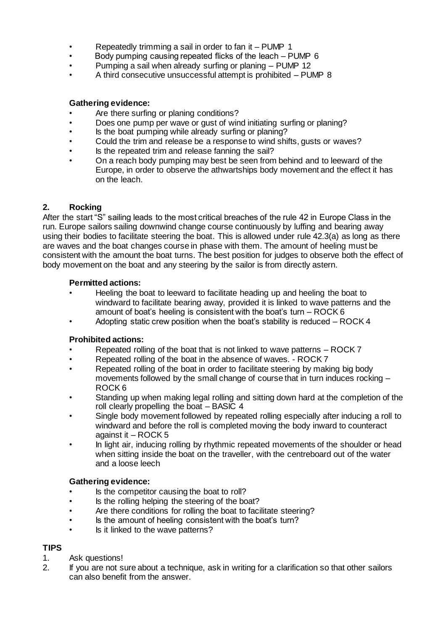- Repeatedly trimming a sail in order to fan it PUMP 1
- Body pumping causing repeated flicks of the leach PUMP 6
- Pumping a sail when already surfing or planing PUMP 12
- A third consecutive unsuccessful attempt is prohibited PUMP 8

# **Gathering evidence:**

- Are there surfing or planing conditions?
- Does one pump per wave or gust of wind initiating surfing or planing?
- Is the boat pumping while already surfing or planing?
- Could the trim and release be a response to wind shifts, gusts or waves?
- Is the repeated trim and release fanning the sail?
- On a reach body pumping may best be seen from behind and to leeward of the Europe, in order to observe the athwartships body movement and the effect it has on the leach.

# **2. Rocking**

After the start "S" sailing leads to the most critical breaches of the rule 42 in Europe Class in the run. Europe sailors sailing downwind change course continuously by luffing and bearing away using their bodies to facilitate steering the boat. This is allowed under rule 42.3(a) as long as there are waves and the boat changes course in phase with them. The amount of heeling must be consistent with the amount the boat turns. The best position for judges to observe both the effect of body movement on the boat and any steering by the sailor is from directly astern.

# **Permitted actions:**

- Heeling the boat to leeward to facilitate heading up and heeling the boat to windward to facilitate bearing away, provided it is linked to wave patterns and the amount of boat's heeling is consistent with the boat's turn – ROCK 6
- Adopting static crew position when the boat's stability is reduced ROCK 4

# **Prohibited actions:**

- Repeated rolling of the boat that is not linked to wave patterns ROCK 7
- Repeated rolling of the boat in the absence of waves. ROCK 7
- Repeated rolling of the boat in order to facilitate steering by making big body movements followed by the small change of course that in turn induces rocking – ROCK 6
- Standing up when making legal rolling and sitting down hard at the completion of the roll clearly propelling the boat – BASIC 4
- Single body movement followed by repeated rolling especially after inducing a roll to windward and before the roll is completed moving the body inward to counteract against it – ROCK 5
- In light air, inducing rolling by rhythmic repeated movements of the shoulder or head when sitting inside the boat on the traveller, with the centreboard out of the water and a loose leech

# **Gathering evidence:**

- Is the competitor causing the boat to roll?
- Is the rolling helping the steering of the boat?
- Are there conditions for rolling the boat to facilitate steering?
- Is the amount of heeling consistent with the boat's turn?
- Is it linked to the wave patterns?

# **TIPS**

- 1. Ask questions!
- 2. If you are not sure about a technique, ask in writing for a clarification so that other sailors can also benefit from the answer.